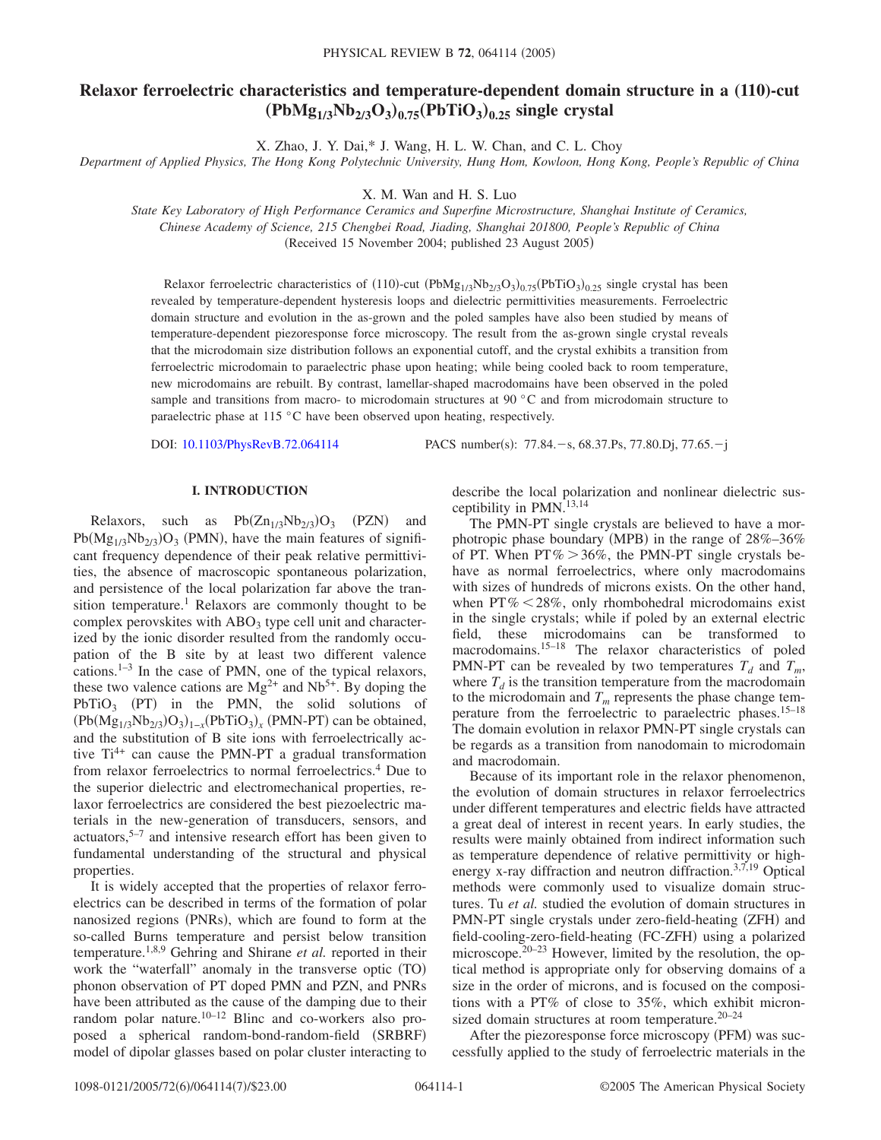# **Relaxor ferroelectric characteristics and temperature-dependent domain structure in a (110)-cut**  $(PbMg_{1/3}Nb_{2/3}O_3)_{0.75}(PbTiO_3)_{0.25}$  single crystal

X. Zhao, J. Y. Dai,\* J. Wang, H. L. W. Chan, and C. L. Choy

*Department of Applied Physics, The Hong Kong Polytechnic University, Hung Hom, Kowloon, Hong Kong, People's Republic of China*

X. M. Wan and H. S. Luo

*State Key Laboratory of High Performance Ceramics and Superfine Microstructure, Shanghai Institute of Ceramics, Chinese Academy of Science, 215 Chengbei Road, Jiading, Shanghai 201800, People's Republic of China* (Received 15 November 2004; published 23 August 2005)

Relaxor ferroelectric characteristics of (110)-cut ( $PbMg_{1/3}Nb_{2/3}O_3$ )<sub>0.75</sub>( $PbTiO_3$ )<sub>0.25</sub> single crystal has been revealed by temperature-dependent hysteresis loops and dielectric permittivities measurements. Ferroelectric domain structure and evolution in the as-grown and the poled samples have also been studied by means of temperature-dependent piezoresponse force microscopy. The result from the as-grown single crystal reveals that the microdomain size distribution follows an exponential cutoff, and the crystal exhibits a transition from ferroelectric microdomain to paraelectric phase upon heating; while being cooled back to room temperature, new microdomains are rebuilt. By contrast, lamellar-shaped macrodomains have been observed in the poled sample and transitions from macro- to microdomain structures at 90 °C and from microdomain structure to paraelectric phase at 115 °C have been observed upon heating, respectively.

DOI: [10.1103/PhysRevB.72.064114](http://dx.doi.org/10.1103/PhysRevB.72.064114)

PACS number(s):  $77.84.-s$ , 68.37.Ps, 77.80.Dj, 77.65. $-i$ 

## **I. INTRODUCTION**

Relaxors, such as  $Pb(Zn_{1/3}Nb_{2/3})O_3$  (PZN) and  $Pb(Mg_{1/3}Nb_{2/3})O_3$  (PMN), have the main features of significant frequency dependence of their peak relative permittivities, the absence of macroscopic spontaneous polarization, and persistence of the local polarization far above the transition temperature.<sup>1</sup> Relaxors are commonly thought to be complex perovskites with  $ABO<sub>3</sub>$  type cell unit and characterized by the ionic disorder resulted from the randomly occupation of the B site by at least two different valence cations.<sup>1–3</sup> In the case of PMN, one of the typical relaxors, these two valence cations are  $Mg^{2+}$  and  $Nb^{5+}$ . By doping the  $PbTiO<sub>3</sub>$  (PT) in the PMN, the solid solutions of  $(Pb(Mg_{1/3}Nb_{2/3})O_3)_{1-x}(PbTiO_3)_x$  (PMN-PT) can be obtained, and the substitution of B site ions with ferroelectrically active  $Ti^{4+}$  can cause the PMN-PT a gradual transformation from relaxor ferroelectrics to normal ferroelectrics.4 Due to the superior dielectric and electromechanical properties, relaxor ferroelectrics are considered the best piezoelectric materials in the new-generation of transducers, sensors, and actuators, $5-7$  and intensive research effort has been given to fundamental understanding of the structural and physical properties.

It is widely accepted that the properties of relaxor ferroelectrics can be described in terms of the formation of polar nanosized regions (PNRs), which are found to form at the so-called Burns temperature and persist below transition temperature.1,8,9 Gehring and Shirane *et al.* reported in their work the "waterfall" anomaly in the transverse optic (TO) phonon observation of PT doped PMN and PZN, and PNRs have been attributed as the cause of the damping due to their random polar nature.<sup>10–12</sup> Blinc and co-workers also proposed a spherical random-bond-random-field (SRBRF) model of dipolar glasses based on polar cluster interacting to

describe the local polarization and nonlinear dielectric susceptibility in PMN.<sup>13,14</sup>

The PMN-PT single crystals are believed to have a morphotropic phase boundary (MPB) in the range of 28%-36% of PT. When  $PT\% > 36\%$ , the PMN-PT single crystals behave as normal ferroelectrics, where only macrodomains with sizes of hundreds of microns exists. On the other hand, when  $PT\% \leq 28\%$ , only rhombohedral microdomains exist in the single crystals; while if poled by an external electric field, these microdomains can be transformed to macrodomains.15–18 The relaxor characteristics of poled PMN-PT can be revealed by two temperatures  $T_d$  and  $T_m$ , where  $T_d$  is the transition temperature from the macrodomain to the microdomain and  $T_m$  represents the phase change temperature from the ferroelectric to paraelectric phases.<sup>15-18</sup> The domain evolution in relaxor PMN-PT single crystals can be regards as a transition from nanodomain to microdomain and macrodomain.

Because of its important role in the relaxor phenomenon, the evolution of domain structures in relaxor ferroelectrics under different temperatures and electric fields have attracted a great deal of interest in recent years. In early studies, the results were mainly obtained from indirect information such as temperature dependence of relative permittivity or highenergy x-ray diffraction and neutron diffraction.<sup>3,7,19</sup> Optical methods were commonly used to visualize domain structures. Tu *et al.* studied the evolution of domain structures in PMN-PT single crystals under zero-field-heating (ZFH) and field-cooling-zero-field-heating (FC-ZFH) using a polarized microscope.<sup>20–23</sup> However, limited by the resolution, the optical method is appropriate only for observing domains of a size in the order of microns, and is focused on the compositions with a PT% of close to 35%, which exhibit micronsized domain structures at room temperature.<sup>20–24</sup>

After the piezoresponse force microscopy (PFM) was successfully applied to the study of ferroelectric materials in the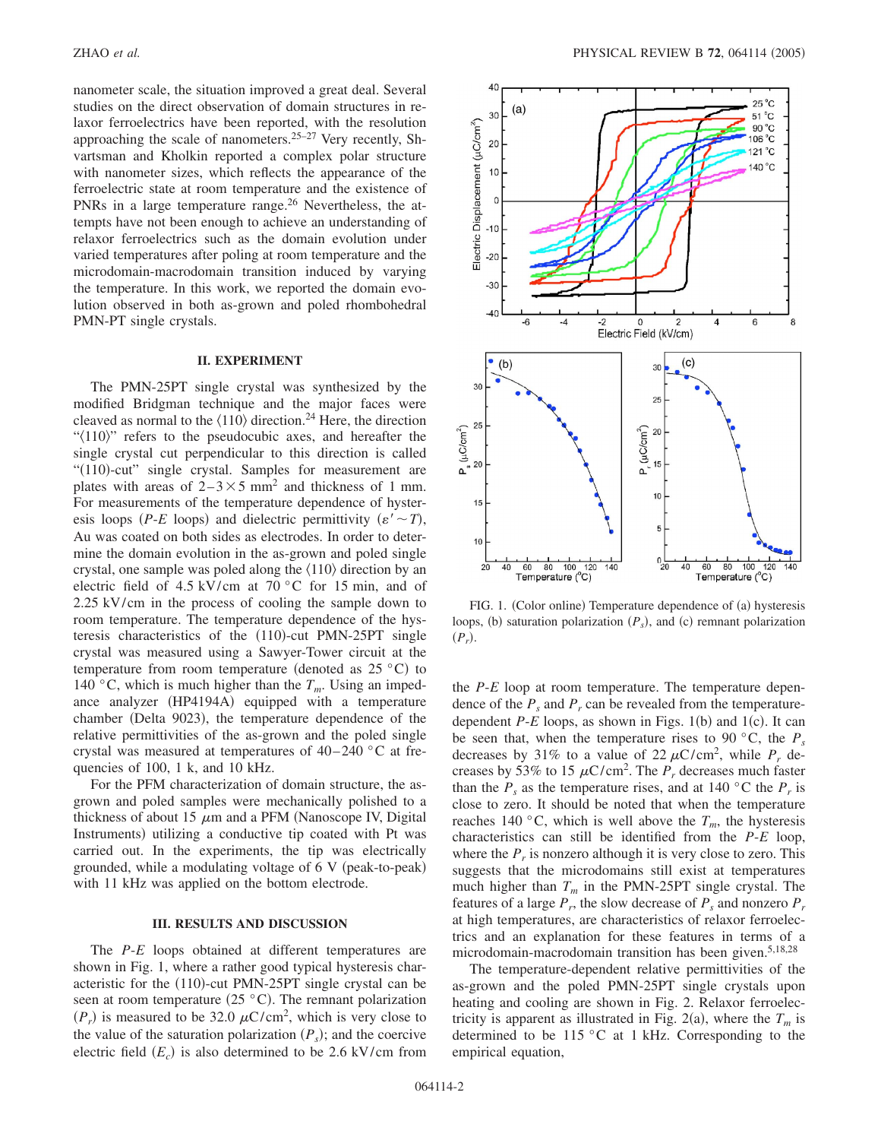nanometer scale, the situation improved a great deal. Several studies on the direct observation of domain structures in relaxor ferroelectrics have been reported, with the resolution approaching the scale of nanometers.<sup>25–27</sup> Very recently, Shvartsman and Kholkin reported a complex polar structure with nanometer sizes, which reflects the appearance of the ferroelectric state at room temperature and the existence of PNRs in a large temperature range.<sup>26</sup> Nevertheless, the attempts have not been enough to achieve an understanding of relaxor ferroelectrics such as the domain evolution under varied temperatures after poling at room temperature and the microdomain-macrodomain transition induced by varying the temperature. In this work, we reported the domain evolution observed in both as-grown and poled rhombohedral PMN-PT single crystals.

### **II. EXPERIMENT**

The PMN-25PT single crystal was synthesized by the modified Bridgman technique and the major faces were cleaved as normal to the  $\langle 110 \rangle$  direction.<sup>24</sup> Here, the direction " $\langle 110 \rangle$ " refers to the pseudocubic axes, and hereafter the single crystal cut perpendicular to this direction is called "(110)-cut" single crystal. Samples for measurement are plates with areas of  $2-3 \times 5$  mm<sup>2</sup> and thickness of 1 mm. For measurements of the temperature dependence of hysteresis loops *(P-E* loops) and dielectric permittivity  $(\varepsilon' \sim T)$ , Au was coated on both sides as electrodes. In order to determine the domain evolution in the as-grown and poled single crystal, one sample was poled along the  $\langle 110 \rangle$  direction by an electric field of 4.5 kV/cm at 70 °C for 15 min, and of 2.25 kV/cm in the process of cooling the sample down to room temperature. The temperature dependence of the hysteresis characteristics of the (110)-cut PMN-25PT single crystal was measured using a Sawyer-Tower circuit at the temperature from room temperature (denoted as  $25^{\circ}$ C) to 140 °C, which is much higher than the  $T_m$ . Using an impedance analyzer (HP4194A) equipped with a temperature chamber (Delta 9023), the temperature dependence of the relative permittivities of the as-grown and the poled single crystal was measured at temperatures of  $40-240$  °C at frequencies of 100, 1 k, and 10 kHz.

For the PFM characterization of domain structure, the asgrown and poled samples were mechanically polished to a thickness of about 15  $\mu$ m and a PFM (Nanoscope IV, Digital Instruments) utilizing a conductive tip coated with Pt was carried out. In the experiments, the tip was electrically grounded, while a modulating voltage of 6 V (peak-to-peak) with 11 kHz was applied on the bottom electrode.

### **III. RESULTS AND DISCUSSION**

The *P*-*E* loops obtained at different temperatures are shown in Fig. 1, where a rather good typical hysteresis characteristic for the (110)-cut PMN-25PT single crystal can be seen at room temperature  $(25 °C)$ . The remnant polarization  $(P_r)$  is measured to be 32.0  $\mu$ C/cm<sup>2</sup>, which is very close to the value of the saturation polarization  $(P_s)$ ; and the coercive electric field  $(E_c)$  is also determined to be 2.6 kV/cm from



FIG. 1. (Color online) Temperature dependence of (a) hysteresis loops, (b) saturation polarization  $(P_s)$ , and (c) remnant polarization  $(P_r)$ .

the *P*-*E* loop at room temperature. The temperature dependence of the  $P_s$  and  $P_r$  can be revealed from the temperaturedependent  $P-E$  loops, as shown in Figs.  $1(b)$  and  $1(c)$ . It can be seen that, when the temperature rises to 90 °C, the  $P_s$ decreases by 31% to a value of 22  $\mu$ C/cm<sup>2</sup>, while  $P_r$  decreases by 53% to 15  $\mu$ C/cm<sup>2</sup>. The  $P_r$  decreases much faster than the  $P_s$  as the temperature rises, and at 140 °C the  $P_r$  is close to zero. It should be noted that when the temperature reaches 140 °C, which is well above the  $T_m$ , the hysteresis characteristics can still be identified from the *P*-*E* loop, where the  $P_r$  is nonzero although it is very close to zero. This suggests that the microdomains still exist at temperatures much higher than  $T_m$  in the PMN-25PT single crystal. The features of a large  $P_r$ , the slow decrease of  $P_s$  and nonzero  $P_r$ at high temperatures, are characteristics of relaxor ferroelectrics and an explanation for these features in terms of a microdomain-macrodomain transition has been given.<sup>5,18,28</sup>

The temperature-dependent relative permittivities of the as-grown and the poled PMN-25PT single crystals upon heating and cooling are shown in Fig. 2. Relaxor ferroelectricity is apparent as illustrated in Fig. 2(a), where the  $T_m$  is determined to be 115 °C at 1 kHz. Corresponding to the empirical equation,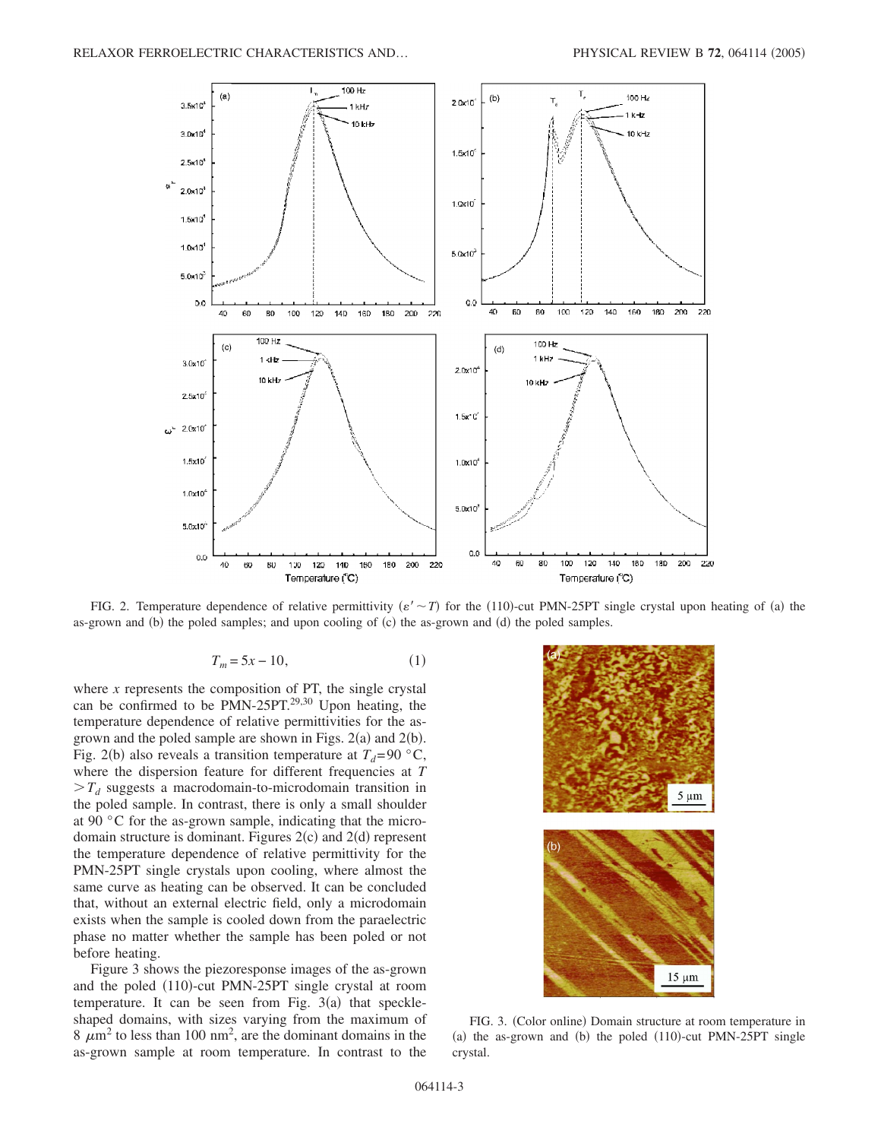

FIG. 2. Temperature dependence of relative permittivity  $(\varepsilon' \sim T)$  for the (110)-cut PMN-25PT single crystal upon heating of (a) the as-grown and  $(b)$  the poled samples; and upon cooling of  $(c)$  the as-grown and  $(d)$  the poled samples.

$$
T_m = 5x - 10,\tag{1}
$$

where  $x$  represents the composition of PT, the single crystal can be confirmed to be PMN-25PT.<sup>29,30</sup> Upon heating, the temperature dependence of relative permittivities for the asgrown and the poled sample are shown in Figs.  $2(a)$  and  $2(b)$ . Fig. 2(b) also reveals a transition temperature at  $T_d$ =90 °C, where the dispersion feature for different frequencies at *T*  $>T_d$  suggests a macrodomain-to-microdomain transition in the poled sample. In contrast, there is only a small shoulder at 90 °C for the as-grown sample, indicating that the microdomain structure is dominant. Figures  $2(c)$  and  $2(d)$  represent the temperature dependence of relative permittivity for the PMN-25PT single crystals upon cooling, where almost the same curve as heating can be observed. It can be concluded that, without an external electric field, only a microdomain exists when the sample is cooled down from the paraelectric phase no matter whether the sample has been poled or not before heating.

Figure 3 shows the piezoresponse images of the as-grown and the poled (110)-cut PMN-25PT single crystal at room temperature. It can be seen from Fig.  $3(a)$  that speckleshaped domains, with sizes varying from the maximum of  $8 \mu m^2$  to less than 100 nm<sup>2</sup>, are the dominant domains in the as-grown sample at room temperature. In contrast to the



FIG. 3. (Color online) Domain structure at room temperature in (a) the as-grown and (b) the poled  $(110)$ -cut PMN-25PT single crystal.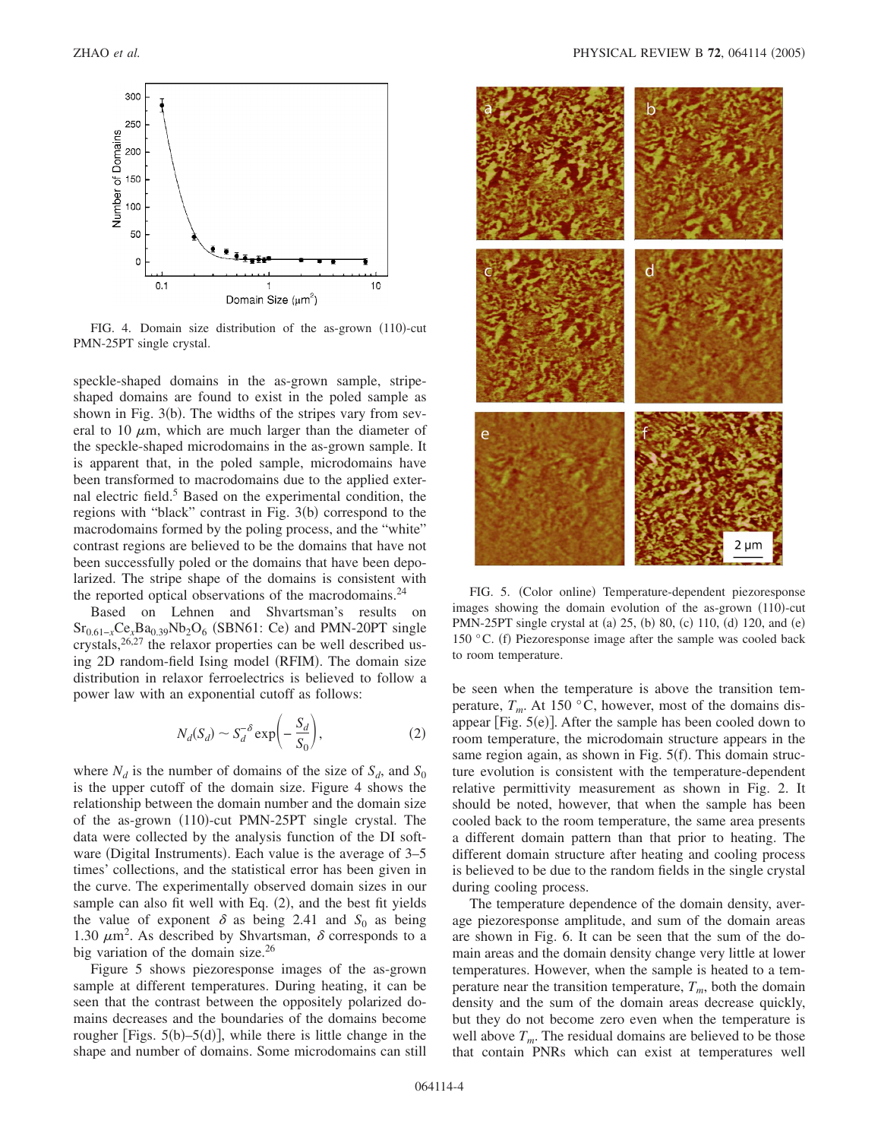

FIG. 4. Domain size distribution of the as-grown (110)-cut PMN-25PT single crystal.

speckle-shaped domains in the as-grown sample, stripeshaped domains are found to exist in the poled sample as shown in Fig.  $3(b)$ . The widths of the stripes vary from several to 10  $\mu$ m, which are much larger than the diameter of the speckle-shaped microdomains in the as-grown sample. It is apparent that, in the poled sample, microdomains have been transformed to macrodomains due to the applied external electric field.<sup>5</sup> Based on the experimental condition, the regions with "black" contrast in Fig. 3(b) correspond to the macrodomains formed by the poling process, and the "white" contrast regions are believed to be the domains that have not been successfully poled or the domains that have been depolarized. The stripe shape of the domains is consistent with the reported optical observations of the macrodomains.<sup>24</sup>

Based on Lehnen and Shvartsman's results on Sr<sub>0.61-*x*</sub>Ce<sub>*x*</sub>Ba<sub>0.39</sub>Nb<sub>2</sub>O<sub>6</sub> (SBN61: Ce) and PMN-20PT single crystals, $26,27$  the relaxor properties can be well described using 2D random-field Ising model (RFIM). The domain size distribution in relaxor ferroelectrics is believed to follow a power law with an exponential cutoff as follows:

$$
N_d(S_d) \sim S_d^{-\delta} \exp\biggl(-\frac{S_d}{S_0}\biggr),\tag{2}
$$

where  $N_d$  is the number of domains of the size of  $S_d$ , and  $S_0$ is the upper cutoff of the domain size. Figure 4 shows the relationship between the domain number and the domain size of the as-grown (110)-cut PMN-25PT single crystal. The data were collected by the analysis function of the DI software (Digital Instruments). Each value is the average of 3-5 times' collections, and the statistical error has been given in the curve. The experimentally observed domain sizes in our sample can also fit well with Eq. (2), and the best fit yields the value of exponent  $\delta$  as being 2.41 and  $S_0$  as being 1.30  $\mu$ m<sup>2</sup>. As described by Shvartsman,  $\delta$  corresponds to a big variation of the domain size.<sup>26</sup>

Figure 5 shows piezoresponse images of the as-grown sample at different temperatures. During heating, it can be seen that the contrast between the oppositely polarized domains decreases and the boundaries of the domains become rougher [Figs.  $5(b)$ - $5(d)$ ], while there is little change in the shape and number of domains. Some microdomains can still



FIG. 5. (Color online) Temperature-dependent piezoresponse images showing the domain evolution of the as-grown (110)-cut PMN-25PT single crystal at (a) 25, (b) 80, (c) 110, (d) 120, and (e) 150 °C. (f) Piezoresponse image after the sample was cooled back to room temperature.

be seen when the temperature is above the transition temperature,  $T_m$ . At 150 °C, however, most of the domains disappear [Fig.  $5(e)$ ]. After the sample has been cooled down to room temperature, the microdomain structure appears in the same region again, as shown in Fig. 5(f). This domain structure evolution is consistent with the temperature-dependent relative permittivity measurement as shown in Fig. 2. It should be noted, however, that when the sample has been cooled back to the room temperature, the same area presents a different domain pattern than that prior to heating. The different domain structure after heating and cooling process is believed to be due to the random fields in the single crystal during cooling process.

The temperature dependence of the domain density, average piezoresponse amplitude, and sum of the domain areas are shown in Fig. 6. It can be seen that the sum of the domain areas and the domain density change very little at lower temperatures. However, when the sample is heated to a temperature near the transition temperature,  $T_m$ , both the domain density and the sum of the domain areas decrease quickly, but they do not become zero even when the temperature is well above  $T_m$ . The residual domains are believed to be those that contain PNRs which can exist at temperatures well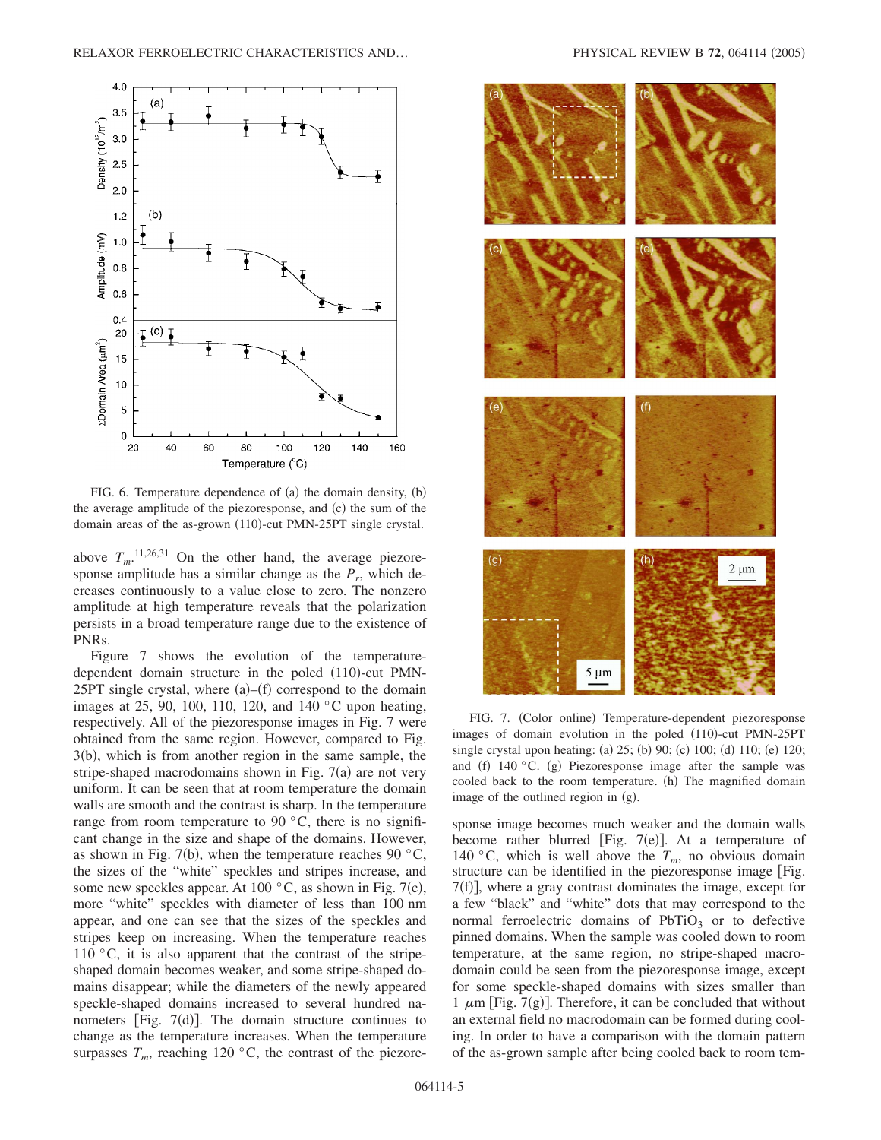

FIG. 6. Temperature dependence of (a) the domain density, (b) the average amplitude of the piezoresponse, and (c) the sum of the domain areas of the as-grown (110)-cut PMN-25PT single crystal.

above  $T_m$ <sup>11,26,31</sup> On the other hand, the average piezoresponse amplitude has a similar change as the  $P_r$ , which decreases continuously to a value close to zero. The nonzero amplitude at high temperature reveals that the polarization persists in a broad temperature range due to the existence of PNRs.

Figure 7 shows the evolution of the temperaturedependent domain structure in the poled (110)-cut PMN- $25PT$  single crystal, where  $(a)$ - $(f)$  correspond to the domain images at 25, 90, 100, 110, 120, and 140 °C upon heating, respectively. All of the piezoresponse images in Fig. 7 were obtained from the same region. However, compared to Fig. 3(b), which is from another region in the same sample, the stripe-shaped macrodomains shown in Fig.  $7(a)$  are not very uniform. It can be seen that at room temperature the domain walls are smooth and the contrast is sharp. In the temperature range from room temperature to 90 $\degree$ C, there is no significant change in the size and shape of the domains. However, as shown in Fig. 7(b), when the temperature reaches 90  $\degree$ C, the sizes of the "white" speckles and stripes increase, and some new speckles appear. At 100  $^{\circ}$ C, as shown in Fig. 7(c), more "white" speckles with diameter of less than 100 nm appear, and one can see that the sizes of the speckles and stripes keep on increasing. When the temperature reaches 110  $\degree$ C, it is also apparent that the contrast of the stripeshaped domain becomes weaker, and some stripe-shaped domains disappear; while the diameters of the newly appeared speckle-shaped domains increased to several hundred nanometers [Fig.  $7(d)$ ]. The domain structure continues to change as the temperature increases. When the temperature surpasses  $T_m$ , reaching 120 °C, the contrast of the piezore-



FIG. 7. (Color online) Temperature-dependent piezoresponse images of domain evolution in the poled (110)-cut PMN-25PT single crystal upon heating: (a) 25; (b) 90; (c) 100; (d) 110; (e) 120; and (f)  $140$  °C. (g) Piezoresponse image after the sample was cooled back to the room temperature. (h) The magnified domain image of the outlined region in (g).

sponse image becomes much weaker and the domain walls become rather blurred [Fig. 7(e)]. At a temperature of 140 °C, which is well above the  $T_m$ , no obvious domain structure can be identified in the piezoresponse image [Fig. 7(f)], where a gray contrast dominates the image, except for a few "black" and "white" dots that may correspond to the normal ferroelectric domains of  $PbTiO<sub>3</sub>$  or to defective pinned domains. When the sample was cooled down to room temperature, at the same region, no stripe-shaped macrodomain could be seen from the piezoresponse image, except for some speckle-shaped domains with sizes smaller than 1  $\mu$ m [Fig. 7(g)]. Therefore, it can be concluded that without an external field no macrodomain can be formed during cooling. In order to have a comparison with the domain pattern of the as-grown sample after being cooled back to room tem-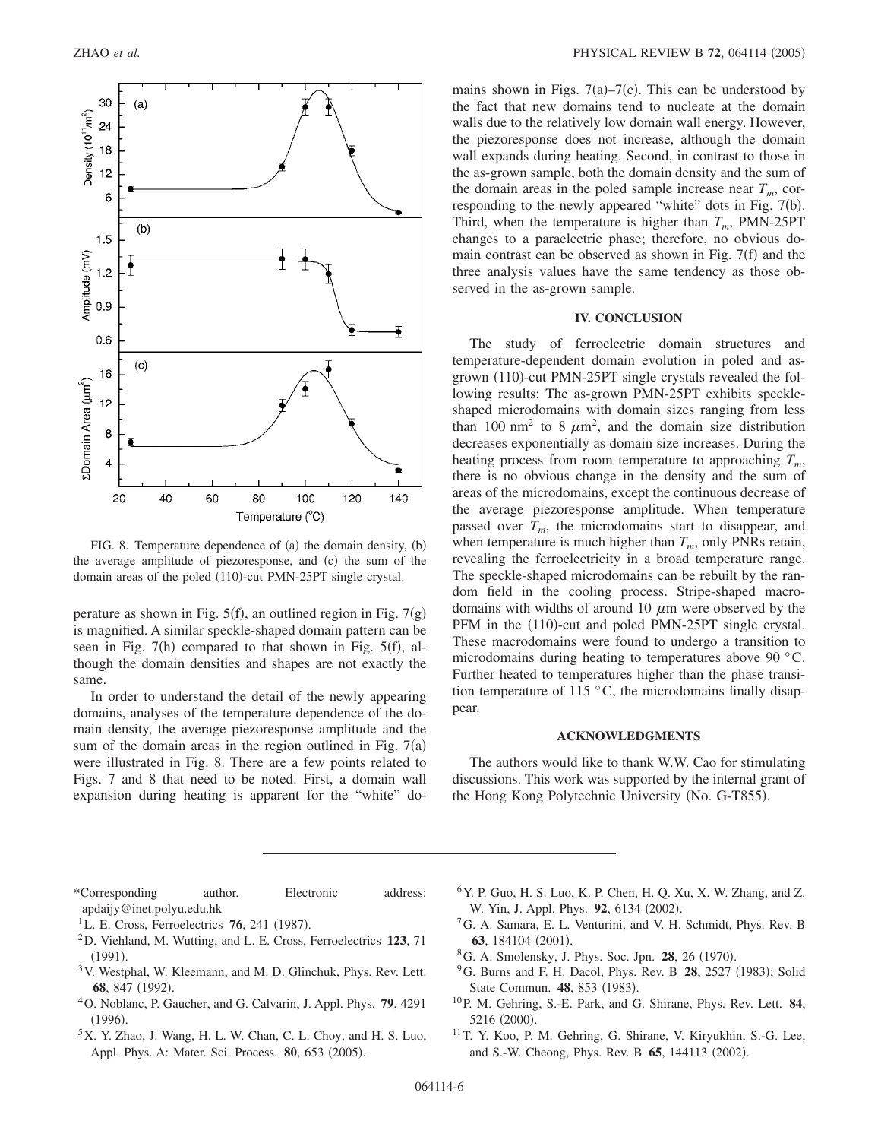

FIG. 8. Temperature dependence of (a) the domain density, (b) the average amplitude of piezoresponse, and (c) the sum of the domain areas of the poled (110)-cut PMN-25PT single crystal.

perature as shown in Fig.  $5(f)$ , an outlined region in Fig.  $7(g)$ is magnified. A similar speckle-shaped domain pattern can be seen in Fig.  $7(h)$  compared to that shown in Fig.  $5(f)$ , although the domain densities and shapes are not exactly the same.

In order to understand the detail of the newly appearing domains, analyses of the temperature dependence of the domain density, the average piezoresponse amplitude and the sum of the domain areas in the region outlined in Fig.  $7(a)$ were illustrated in Fig. 8. There are a few points related to Figs. 7 and 8 that need to be noted. First, a domain wall expansion during heating is apparent for the "white" do-

mains shown in Figs.  $7(a) - 7(c)$ . This can be understood by the fact that new domains tend to nucleate at the domain walls due to the relatively low domain wall energy. However, the piezoresponse does not increase, although the domain wall expands during heating. Second, in contrast to those in the as-grown sample, both the domain density and the sum of the domain areas in the poled sample increase near  $T_m$ , corresponding to the newly appeared "white" dots in Fig. 7(b). Third, when the temperature is higher than  $T_m$ , PMN-25PT changes to a paraelectric phase; therefore, no obvious domain contrast can be observed as shown in Fig.  $7(f)$  and the three analysis values have the same tendency as those observed in the as-grown sample.

#### **IV. CONCLUSION**

The study of ferroelectric domain structures and temperature-dependent domain evolution in poled and asgrown (110)-cut PMN-25PT single crystals revealed the following results: The as-grown PMN-25PT exhibits speckleshaped microdomains with domain sizes ranging from less than 100 nm<sup>2</sup> to 8  $\mu$ m<sup>2</sup>, and the domain size distribution decreases exponentially as domain size increases. During the heating process from room temperature to approaching  $T_m$ , there is no obvious change in the density and the sum of areas of the microdomains, except the continuous decrease of the average piezoresponse amplitude. When temperature passed over  $T_m$ , the microdomains start to disappear, and when temperature is much higher than  $T_m$ , only PNRs retain, revealing the ferroelectricity in a broad temperature range. The speckle-shaped microdomains can be rebuilt by the random field in the cooling process. Stripe-shaped macrodomains with widths of around 10  $\mu$ m were observed by the PFM in the (110)-cut and poled PMN-25PT single crystal. These macrodomains were found to undergo a transition to microdomains during heating to temperatures above 90 °C. Further heated to temperatures higher than the phase transition temperature of 115 $\degree$ C, the microdomains finally disappear.

#### **ACKNOWLEDGMENTS**

The authors would like to thank W.W. Cao for stimulating discussions. This work was supported by the internal grant of the Hong Kong Polytechnic University (No. G-T855).

- \*Corresponding author. Electronic address: apdaijy@inet.polyu.edu.hk
- <sup>1</sup>L. E. Cross, Ferroelectrics **76**, 241 (1987).
- 2D. Viehland, M. Wutting, and L. E. Cross, Ferroelectrics **123**, 71  $(1991).$
- 3V. Westphal, W. Kleemann, and M. D. Glinchuk, Phys. Rev. Lett. 68, 847 (1992).
- 4O. Noblanc, P. Gaucher, and G. Calvarin, J. Appl. Phys. **79**, 4291  $(1996).$
- 5X. Y. Zhao, J. Wang, H. L. W. Chan, C. L. Choy, and H. S. Luo, Appl. Phys. A: Mater. Sci. Process. 80, 653 (2005).
- $6Y$ . P. Guo, H. S. Luo, K. P. Chen, H. O. Xu, X. W. Zhang, and Z. W. Yin, J. Appl. Phys. 92, 6134 (2002).
- 7G. A. Samara, E. L. Venturini, and V. H. Schmidt, Phys. Rev. B 63, 184104 (2001).
- <sup>8</sup>G. A. Smolensky, J. Phys. Soc. Jpn. **28**, 26 (1970).
- <sup>9</sup>G. Burns and F. H. Dacol, Phys. Rev. B **28**, 2527 (1983); Solid State Commun. 48, 853 (1983).
- 10P. M. Gehring, S.-E. Park, and G. Shirane, Phys. Rev. Lett. **84**, 5216 (2000).
- 11T. Y. Koo, P. M. Gehring, G. Shirane, V. Kiryukhin, S.-G. Lee, and S.-W. Cheong, Phys. Rev. B 65, 144113 (2002).